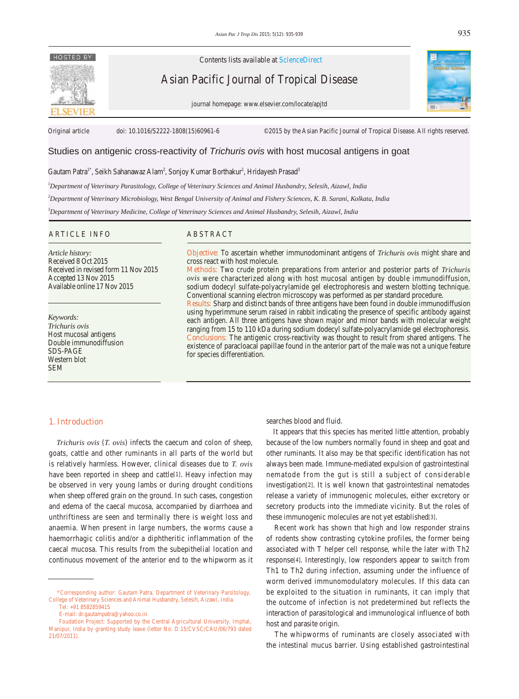# HOSTED BY

Contents lists available at ScienceDirect

Asian Pacific Journal of Tropical Disease

journal homepage: www.elsevier.com/locate/apjtd



Original article doi: 10.1016/S2222-1808(15)60961-6 ©2015 by the Asian Pacific Journal of Tropical Disease. All rights reserved.

# Studies on antigenic cross-reactivity of *Trichuris ovis* with host mucosal antigens in goat

Gautam Patra<sup>1\*</sup>, Seikh Sahanawaz Alam<sup>2</sup>, Sonjoy Kumar Borthakur<sup>1</sup>, Hridayesh Prasad<sup>3</sup>

*1 Department of Veterinary Parasitology, College of Veterinary Sciences and Animal Husbandry, Selesih, Aizawl, India* 

*2 Department of Veterinary Microbiology, West Bengal University of Animal and Fishery Sciences, K. B. Sarani, Kolkata, India*

*3 Department of Veterinary Medicine, College of Veterinary Sciences and Animal Husbandry, Selesih, Aizawl, India*

#### ARTICLE INFO ABSTRACT

*Article history:* Received 8 Oct 2015 Received in revised form 11 Nov 2015 Accepted 13 Nov 2015 Available online 17 Nov 2015

*Keywords: Trichuris ovis* Host mucosal antigens Double immunodiffusion SDS-PAGE Western blot SEM

**Objective:** To ascertain whether immunodominant antigens of *Trichuris ovis* might share and cross react with host molecule.

**Methods:** Two crude protein preparations from anterior and posterior parts of *Trichuris ovis* were characterized along with host mucosal antigen by double immunodiffusion, sodium dodecyl sulfate-polyacrylamide gel electrophoresis and western blotting technique. Conventional scanning electron microscopy was performed as per standard procedure.

**Results:** Sharp and distinct bands of three antigens have been found in double immunodiffusion using hyperimmune serum raised in rabbit indicating the presence of specific antibody against each antigen. All three antigens have shown major and minor bands with molecular weight ranging from 15 to 110 kDa during sodium dodecyl sulfate-polyacrylamide gel electrophoresis. **Conclusions:** The antigenic cross-reactivity was thought to result from shared antigens. The existence of paracloacal papillae found in the anterior part of the male was not a unique feature for species differentiation.

# **1. Introduction**

 *Trichuris ovis* (*T. ovis*) infects the caecum and colon of sheep, goats, cattle and other ruminants in all parts of the world but is relatively harmless. However, clinical diseases due to *T. ovis* have been reported in sheep and cattle[1]. Heavy infection may be observed in very young lambs or during drought conditions when sheep offered grain on the ground. In such cases, congestion and edema of the caecal mucosa, accompanied by diarrhoea and unthriftiness are seen and terminally there is weight loss and anaemia. When present in large numbers, the worms cause a haemorrhagic colitis and/or a diphtheritic inflammation of the caecal mucosa. This results from the subepithelial location and continuous movement of the anterior end to the whipworm as it searches blood and fluid.

 It appears that this species has merited little attention, probably because of the low numbers normally found in sheep and goat and other ruminants. It also may be that specific identification has not always been made. Immune-mediated expulsion of gastrointestinal nematode from the gut is still a subject of considerable investigation[2]. It is well known that gastrointestinal nematodes release a variety of immunogenic molecules, either excretory or secretory products into the immediate vicinity. But the roles of these immunogenic molecules are not yet established[3].

 Recent work has shown that high and low responder strains of rodents show contrasting cytokine profiles, the former being associated with T helper cell response, while the later with Th2 response[4]. Interestingly, low responders appear to switch from Th1 to Th2 during infection, assuming under the influence of worm derived immunomodulatory molecules. If this data can be exploited to the situation in ruminants, it can imply that the outcome of infection is not predetermined but reflects the interaction of parasitological and immunological influence of both host and parasite origin.

 The whipworms of ruminants are closely associated with the intestinal mucus barrier. Using established gastrointestinal

 <sup>\*</sup>Corresponding author: Gautam Patra, Department of Veterinary Parsitology, College of Veterinary Sciences and Animal Husbandry, Selesih, Aizawl, India. Tel: +91 8582859415

E-mail: dr.gautampatra@yahoo.co.in

Foudation Project: Supported by the Central Agricultural University, Imphal, Manipur, India by granting study leave (letter No. D.15/CVSC/CAU/06/793 dated 21/07/2011).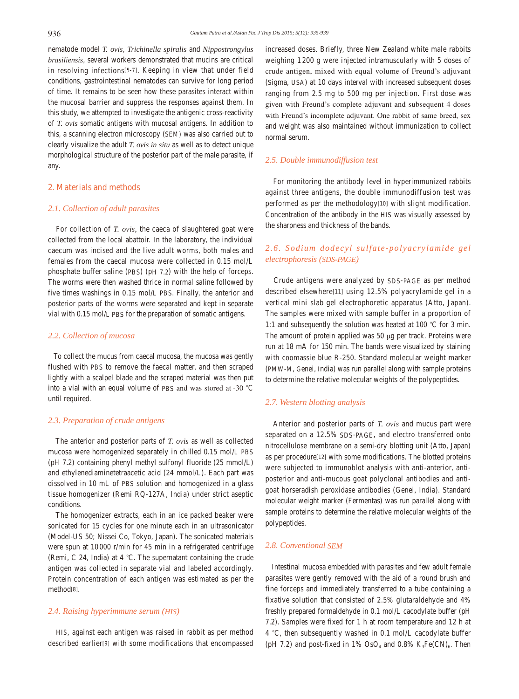nematode model *T. ovis*, *Trichinella spiralis* and *Nippostrongylus brasiliensis*, several workers demonstrated that mucins are critical in resolving infections[5-7]. Keeping in view that under field conditions, gastrointestinal nematodes can survive for long period of time. It remains to be seen how these parasites interact within the mucosal barrier and suppress the responses against them. In this study, we attempted to investigate the antigenic cross-reactivity of *T. ovis* somatic antigens with mucosal antigens. In addition to this, a scanning electron microscopy (SEM) was also carried out to clearly visualize the adult *T. ovis in situ* as well as to detect unique morphological structure of the posterior part of the male parasite, if any.

#### **2. Materials and methods**

## *2.1. Collection of adult parasites*

 For collection of *T. ovis,* the caeca of slaughtered goat were collected from the local abattoir. In the laboratory, the individual caecum was incised and the live adult worms, both males and females from the caecal mucosa were collected in 0.15 mol/L phosphate buffer saline (PBS) (pH 7.2) with the help of forceps. The worms were then washed thrice in normal saline followed by five times washings in 0.15 mol/L PBS. Finally, the anterior and posterior parts of the worms were separated and kept in separate vial with 0.15 mol/L PBS for the preparation of somatic antigens.

#### *2.2. Collection of mucosa*

 To collect the mucus from caecal mucosa, the mucosa was gently flushed with PBS to remove the faecal matter, and then scraped lightly with a scalpel blade and the scraped material was then put into a vial with an equal volume of PBS and was stored at¬-30 *°*C until required.

#### *2.3. Preparation of crude antigens*

 The anterior and posterior parts of *T. ovis* as well as collected mucosa were homogenized separately in chilled 0.15 mol/L PBS (pH 7.2) containing phenyl methyl sulfonyl fluoride (25 mmol/L) and ethylenediaminetetraacetic acid (24 mmol/L). Each part was dissolved in 10 mL of PBS solution and homogenized in a glass tissue homogenizer (Remi RQ-127A, India) under strict aseptic conditions.

 The homogenizer extracts, each in an ice packed beaker were sonicated for 15 cycles for one minute each in an ultrasonicator (Model-US 50; Nissei Co, Tokyo, Japan). The sonicated materials were spun at 10 000 r/min for 45 min in a refrigerated centrifuge (Remi, C 24, India) at 4 *°*C. The supernatant containing the crude antigen was collected in separate vial and labeled accordingly. Protein concentration of each antigen was estimated as per the method[8].

#### *2.4. Raising hyperimmune serum (HIS)*

 HIS, against each antigen was raised in rabbit as per method described earlier[9] with some modifications that encompassed increased doses. Briefly, three New Zealand white male rabbits weighing 1 200 g were injected intramuscularly with 5 doses of crude antigen, mixed with equal volume of Freund's adjuvant (Sigma, USA) at 10 days interval with increased subsequent doses ranging from 2.5 mg to 500 mg per injection. First dose was given with Freund's complete adjuvant and subsequent 4 doses with Freund's incomplete adjuvant. One rabbit of same breed, sex and weight was also maintained without immunization to collect normal serum.

# *2.5. Double immunodiffusion test*

 For monitoring the antibody level in hyperimmunized rabbits against three antigens, the double immunodiffusion test was performed as per the methodology[10] with slight modification. Concentration of the antibody in the HIS was visually assessed by the sharpness and thickness of the bands.

# *2.6. Sodium dodecyl sulfate-polyacrylamide gel electrophoresis (SDS-PAGE)*

 Crude antigens were analyzed by SDS-PAGE as per method described elsewhere[11] using 12.5% polyacrylamide gel in a vertical mini slab gel electrophoretic apparatus (Atto, Japan). The samples were mixed with sample buffer in a proportion of 1:1 and subsequently the solution was heated at 100 *°*C for 3 min. The amount of protein applied was 50 μg per track. Proteins were run at 18 mA for 150 min. The bands were visualized by staining with coomassie blue R-250. Standard molecular weight marker (PMW-M, Genei, India) was run parallel along with sample proteins to determine the relative molecular weights of the polypeptides.

# *2.7. Western blotting analysis*

 Anterior and posterior parts of *T. ovis* and mucus part were separated on a 12.5% SDS-PAGE, and electro transferred onto nitrocellulose membrane on a semi-dry blotting unit (Atto, Japan) as per procedure[12] with some modifications. The blotted proteins were subjected to immunoblot analysis with anti-anterior, antiposterior and anti-mucous goat polyclonal antibodies and antigoat horseradish peroxidase antibodies (Genei, India). Standard molecular weight marker (Fermentas) was run parallel along with sample proteins to determine the relative molecular weights of the polypeptides.

# *2.8. Conventional SEM*

 Intestinal mucosa embedded with parasites and few adult female parasites were gently removed with the aid of a round brush and fine forceps and immediately transferred to a tube containing a fixative solution that consisted of 2.5% glutaraldehyde and 4% freshly prepared formaldehyde in 0.1 mol/L cacodylate buffer (pH 7.2). Samples were fixed for 1 h at room temperature and 12 h at 4 *°*C, then subsequently washed in 0.1 mol/L cacodylate buffer (pH 7.2) and post-fixed in 1%  $OsO<sub>4</sub>$  and 0.8% K<sub>3</sub>Fe(CN)<sub>6</sub>. Then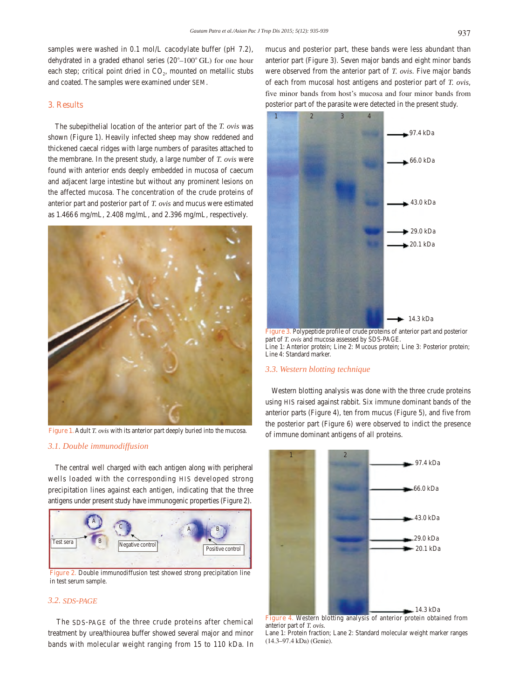samples were washed in 0.1 mol/L cacodylate buffer (pH 7.2), dehydrated in a graded ethanol series (20*°*–100*°*°GL) for one hour each step; critical point dried in  $CO<sub>2</sub>$ , mounted on metallic stubs and coated. The samples were examined under SEM.

# **3. Results**

 The subepithelial location of the anterior part of the *T. ovis* was shown (Figure 1). Heavily infected sheep may show reddened and thickened caecal ridges with large numbers of parasites attached to the membrane. In the present study, a large number of *T. ovis* were found with anterior ends deeply embedded in mucosa of caecum and adjacent large intestine but without any prominent lesions on the affected mucosa. The concentration of the crude proteins of anterior part and posterior part of *T. ovis* and mucus were estimated as 1.466 6 mg/mL, 2.408 mg/mL, and 2.396 mg/mL, respectively.



**Figure 1.** Adult *T. ovis* with its anterior part deeply buried into the mucosa.

### *3.1. Double immunodiffusion*

 The central well charged with each antigen along with peripheral wells loaded with the corresponding HIS developed strong precipitation lines against each antigen, indicating that the three antigens under present study have immunogenic properties (Figure 2).



in test serum sample.

# *3.2. SDS-PAGE*

 The SDS-PAGE of the three crude proteins after chemical treatment by urea/thiourea buffer showed several major and minor bands with molecular weight ranging from 15 to 110 kDa. In mucus and posterior part, these bands were less abundant than anterior part (Figure 3). Seven major bands and eight minor bands were observed from the anterior part of *T. ovis*. Five major bands of each from mucosal host antigens and posterior part of *T. ovis*, five minor bands from host's mucosa and four minor bands from posterior part of the parasite were detected in the present study.



**Figure 3.** Polypeptide profile of crude proteins of anterior part and posterior part of *T. ovis* and mucosa assessed by SDS-PAGE. Line 1: Anterior protein; Line 2: Mucous protein; Line 3: Posterior protein; Line 4: Standard marker.

#### *3.3. Western blotting technique*

 Western blotting analysis was done with the three crude proteins using HIS raised against rabbit. Six immune dominant bands of the anterior parts (Figure 4), ten from mucus (Figure 5), and five from the posterior part (Figure 6) were observed to indict the presence of immune dominant antigens of all proteins.



**Figure 4.** Western blotting analysis of anterior protein obtained from anterior part of *T. ovis.*

Lane 1: Protein fraction; Lane 2: Standard molecular weight marker ranges (14.3–97.4 kDa) (Genie).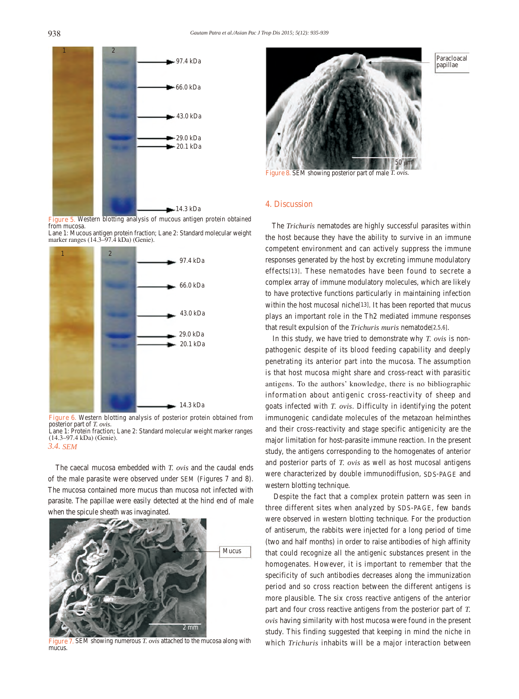



marker ranges (14.3–97.4 kDa) (Genie).



**Figure 6.** Western blotting analysis of posterior protein obtained from posterior part of *T. ovis*. Lane 1: Protein fraction; Lane 2: Standard molecular weight marker ranges (14.3–97.4 kDa) (Genie). *3.4. SEM*

 The caecal mucosa embedded with *T. ovis* and the caudal ends of the male parasite were observed under SEM (Figures 7 and 8). The mucosa contained more mucus than mucosa not infected with parasite. The papillae were easily detected at the hind end of male when the spicule sheath was invaginated.



**Figure 7.** SEM showing numerous *T. ovis* attached to the mucosa along with mucus.



Paracloacal papillae

**Figure 8.** SEM showing posterior part of male *T. ovis.*

#### **4. Discussion**

 The *Trichuris* nematodes are highly successful parasites within the host because they have the ability to survive in an immune competent environment and can actively suppress the immune responses generated by the host by excreting immune modulatory effects[13]. These nematodes have been found to secrete a complex array of immune modulatory molecules, which are likely to have protective functions particularly in maintaining infection within the host mucosal niche<sup>[13]</sup>. It has been reported that mucus plays an important role in the Th2 mediated immune responses that result expulsion of the *Trichuris muris* nematode[2,5,6].

 In this study, we have tried to demonstrate why *T. ovis* is nonpathogenic despite of its blood feeding capability and deeply penetrating its anterior part into the mucosa. The assumption is that host mucosa might share and cross-react with parasitic antigens. To the authors' knowledge, there is no bibliographic information about antigenic cross-reactivity of sheep and goats infected with *T. ovis*. Difficulty in identifying the potent immunogenic candidate molecules of the metazoan helminthes and their cross-reactivity and stage specific antigenicity are the major limitation for host-parasite immune reaction. In the present study, the antigens corresponding to the homogenates of anterior and posterior parts of *T. ovis* as well as host mucosal antigens were characterized by double immunodiffusion, SDS-PAGE and western blotting technique.

 Despite the fact that a complex protein pattern was seen in three different sites when analyzed by SDS-PAGE, few bands were observed in western blotting technique. For the production of antiserum, the rabbits were injected for a long period of time (two and half months) in order to raise antibodies of high affinity that could recognize all the antigenic substances present in the homogenates. However, it is important to remember that the specificity of such antibodies decreases along the immunization period and so cross reaction between the different antigens is more plausible. The six cross reactive antigens of the anterior part and four cross reactive antigens from the posterior part of *T. ovis* having similarity with host mucosa were found in the present study. This finding suggested that keeping in mind the niche in which *Trichuris* inhabits will be a major interaction between